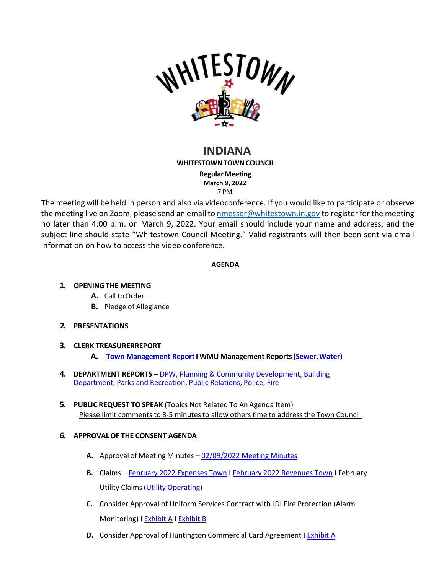

# **INDIANA**

**WHITESTOWN TOWN COUNCIL** 

**Regular Meeting March 9, 2022** 7 PM

The meeting will be held in person and also via videoconference. If you would like to participate or observe the meeting live on Zoom, please send an email to [nmesser@whitestown.in.gov](mailto:nmesser@whitestown.in.gov) to register for the meeting no later than 4:00 p.m. on March 9, 2022. Your email should include your name and address, and the subject line should state "Whitestown Council Meeting." Valid registrants will then been sent via email information on how to access the video conference.

### **AGENDA**

# **1. OPENINGTHE MEETING**

- **A.** Call toOrder
- **B.** Pledge of Allegiance

# **2. PRESENTATIONS**

# **3. CLERK TREASURERREPORT**

- **A. [Town Management](https://whitestown.in.gov/vertical/sites/%7BB8BE8AC3-9DE8-4247-BCB0-1173F48CC7C3%7D/uploads/March_2022_Town_Management_Report.pdf) ReportI WMU Management Reports[\(Sewer](https://whitestown.in.gov/vertical/sites/%7BB8BE8AC3-9DE8-4247-BCB0-1173F48CC7C3%7D/uploads/12.2021_Sewer_Management_Report.pdf)**,**[Water\)](https://whitestown.in.gov/vertical/sites/%7BB8BE8AC3-9DE8-4247-BCB0-1173F48CC7C3%7D/uploads/12.2021_Water_Management_Report.pdf)**
- **4. DEPARTMENT REPORTS**  [DPW,](https://whitestown.in.gov/vertical/sites/%7BB8BE8AC3-9DE8-4247-BCB0-1173F48CC7C3%7D/uploads/February_2022_DPW_Report.pdf) [Planning & Community Development,](https://whitestown.in.gov/vertical/sites/%7BB8BE8AC3-9DE8-4247-BCB0-1173F48CC7C3%7D/uploads/February_2022_Planning_Department_Report.pdf) [Building](https://whitestown.in.gov/vertical/sites/%7BB8BE8AC3-9DE8-4247-BCB0-1173F48CC7C3%7D/uploads/February_2022_Building_Department_Report.pdf) [Department,](https://whitestown.in.gov/vertical/sites/%7BB8BE8AC3-9DE8-4247-BCB0-1173F48CC7C3%7D/uploads/February_2022_Building_Department_Report.pdf) Parks and [Recreation,](https://whitestown.in.gov/vertical/sites/%7BB8BE8AC3-9DE8-4247-BCB0-1173F48CC7C3%7D/uploads/February_2022_Parks_Report.pdf) Public [Relations,](https://whitestown.in.gov/vertical/sites/%7BB8BE8AC3-9DE8-4247-BCB0-1173F48CC7C3%7D/uploads/February2022PRReport.pdf) [Police,](https://whitestown.in.gov/vertical/sites/%7BB8BE8AC3-9DE8-4247-BCB0-1173F48CC7C3%7D/uploads/February_2022_WMPD_Report.pdf) [Fire](https://whitestown.in.gov/vertical/sites/%7BB8BE8AC3-9DE8-4247-BCB0-1173F48CC7C3%7D/uploads/WFD_Monthly_Report_-_WTC_MAR22_Mtg.pdf)
- **5. PUBLIC REQUEST TOSPEAK** (Topics Not Related To An Agenda Item) Please limit comments to 3-5 minutesto allow otherstime to addressthe Town Council.

# **6. APPROVALOF THE CONSENT AGENDA**

- **A.** Approval of Meeting Minutes [02/09/2022](https://whitestown.in.gov/vertical/sites/%7BB8BE8AC3-9DE8-4247-BCB0-1173F48CC7C3%7D/uploads/2-9-22_Town_Council_Meeting_Minutes.pdf) Meeting Minutes
- **B.** Claims [February 2022 Expenses Town](https://whitestown.in.gov/vertical/sites/%7BB8BE8AC3-9DE8-4247-BCB0-1173F48CC7C3%7D/uploads/February_2022_Fee_Receipts.pdf) I [February 2022 Revenues Town](https://whitestown.in.gov/vertical/sites/%7BB8BE8AC3-9DE8-4247-BCB0-1173F48CC7C3%7D/uploads/February_2022_Disbursements.pdf) I February Utility Claims(Utility [Operating\)](https://whitestown.in.gov/vertical/sites/%7BB8BE8AC3-9DE8-4247-BCB0-1173F48CC7C3%7D/uploads/Utility_Operating_Claims_Docket_03.09.2022.pdf)
- **C.** Consider Approval of Uniform Services Contract with JDI Fire Protection (Alarm Monitoring) I [Exhibit](https://whitestown.in.gov/vertical/sites/%7BB8BE8AC3-9DE8-4247-BCB0-1173F48CC7C3%7D/uploads/JDI_Alarm_Monitoring_Contract.pdf) A I [Exhibit](https://whitestown.in.gov/vertical/sites/%7BB8BE8AC3-9DE8-4247-BCB0-1173F48CC7C3%7D/uploads/Uniform_Contract_with_JDI_Fire_Protection.pdf) B
- **D.** Consider Approval of Huntington Commercial Card Agreement I [Exhibit A](https://whitestown.in.gov/vertical/sites/%7BB8BE8AC3-9DE8-4247-BCB0-1173F48CC7C3%7D/uploads/Whitestown_New_Card_Agreement_1.13.22.pdf)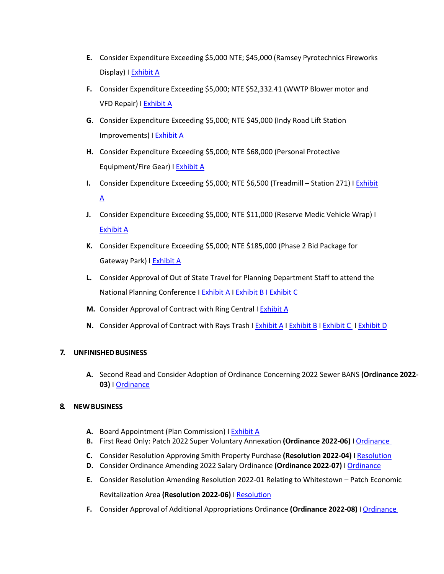- **E.** Consider Expenditure Exceeding \$5,000 NTE; \$45,000 (Ramsey Pyrotechnics Fireworks Display) I [Exhibit](https://whitestown.in.gov/vertical/sites/%7BB8BE8AC3-9DE8-4247-BCB0-1173F48CC7C3%7D/uploads/Ramsey_Pyro_2.24.2022.pdf) A
- **F.** Consider Expenditure Exceeding \$5,000; NTE \$52,332.41 (WWTP Blower motor and VFD Repair) I [Exhibit](https://whitestown.in.gov/vertical/sites/%7BB8BE8AC3-9DE8-4247-BCB0-1173F48CC7C3%7D/uploads/WWTP_Blower_and_VFD_Repair.pdf) A
- **G.** Consider Expenditure Exceeding \$5,000; NTE \$45,000 (Indy Road Lift Station Improvements) I [Exhibit](https://whitestown.in.gov/vertical/sites/%7BB8BE8AC3-9DE8-4247-BCB0-1173F48CC7C3%7D/uploads/Indy_Rd_LS_Improvments.pdf) A
- **H.** Consider Expenditure Exceeding \$5,000; NTE \$68,000 (Personal Protective Equipment/Fire Gear) I [Exhibit A](https://whitestown.in.gov/vertical/sites/%7BB8BE8AC3-9DE8-4247-BCB0-1173F48CC7C3%7D/uploads/MES_-_Fire_Gear_Quote.pdf)
- **I.** Consider Expenditure Exceeding \$5,000; NTE \$6,500 (Treadmill Station 271) I [Exhibit](https://whitestown.in.gov/vertical/sites/%7BB8BE8AC3-9DE8-4247-BCB0-1173F48CC7C3%7D/uploads/Est_13182_from_Fitness_and_Exercise_Solutions_10416.pdf)  $\underline{A}$  $\underline{A}$  $\underline{A}$
- **J.** Consider Expenditure Exceeding \$5,000; NTE \$11,000 (Reserve Medic Vehicle Wrap) I [Exhibit](https://whitestown.in.gov/vertical/sites/%7BB8BE8AC3-9DE8-4247-BCB0-1173F48CC7C3%7D/uploads/Est_21725_from_Indys_Pro_Graphix_2828.pdf) A
- **K.** Consider Expenditure Exceeding \$5,000; NTE \$185,000 (Phase 2 Bid Package for Gateway Park) I [Exhibit A](https://whitestown.in.gov/vertical/sites/%7BB8BE8AC3-9DE8-4247-BCB0-1173F48CC7C3%7D/uploads/3.9.2022_-_Agenda_Item_-_Gateway_Park_First_Due_Bid.pdf)
- **L.** Consider Approval of Out of State Travel for Planning Department Staff to attend the National Planning Conference I [Exhibit A](https://whitestown.in.gov/vertical/sites/%7BB8BE8AC3-9DE8-4247-BCB0-1173F48CC7C3%7D/uploads/Travel_Request_Application_Conniff_NPC_APA_2022.pdf) I [Exhibit B](https://whitestown.in.gov/vertical/sites/%7BB8BE8AC3-9DE8-4247-BCB0-1173F48CC7C3%7D/uploads/Travel_Request_Application_McKeever_NPC_APA_2022.pdf) [I Exhibit](https://whitestown.in.gov/vertical/sites/%7BB8BE8AC3-9DE8-4247-BCB0-1173F48CC7C3%7D/uploads/APA_Planning_Conference_Request.pdf) C
- M. Consider Approval of Contract with Ring Central I [Exhibit A](https://whitestown.in.gov/vertical/sites/%7BB8BE8AC3-9DE8-4247-BCB0-1173F48CC7C3%7D/uploads/Ring_Doorbell_Quote.pdf)
- **N.** Consider Approval of Contract with Rays Trash I [Exhibit](https://whitestown.in.gov/vertical/sites/%7BB8BE8AC3-9DE8-4247-BCB0-1173F48CC7C3%7D/uploads/Rays_Trash_Service_Agreement.pdf) A I Exhibit B I [Exhibit C](https://whitestown.in.gov/vertical/sites/%7BB8BE8AC3-9DE8-4247-BCB0-1173F48CC7C3%7D/uploads/Rays_Trash_Uniform_Agreement.pdf) I [Exhibit D](https://whitestown.in.gov/vertical/sites/%7BB8BE8AC3-9DE8-4247-BCB0-1173F48CC7C3%7D/uploads/Whitestown_-_Trash_Needs(1).pdf)

# **7. UNFINISHEDBUSINESS**

**A.** Second Read and Consider Adoption of Ordinance Concerning 2022 Sewer BANS **(Ordinance 2022- 03)** I [Ordinance](https://whitestown.in.gov/vertical/sites/%7BB8BE8AC3-9DE8-4247-BCB0-1173F48CC7C3%7D/uploads/Ordinance_2022-03_(Sewer_Bond_Ordinance).pdf)

# **8. NEWBUSINESS**

- **A.** Board Appointment (Plan Commission) I [Exhibit](https://whitestown.in.gov/vertical/sites/%7BB8BE8AC3-9DE8-4247-BCB0-1173F48CC7C3%7D/uploads/Plan_Commission_(Updated_March_2022).pdf) A
- **B.** First Read Only: Patch 2022 Super Voluntary Annexation **(Ordinance 2022-06)** I [Ordinance](https://whitestown.in.gov/vertical/sites/%7BB8BE8AC3-9DE8-4247-BCB0-1173F48CC7C3%7D/uploads/Ordinance_2022-06_(Patch_2022_Super_Voluntary_Annexation).pdf)
- **C.** Consider Resolution Approving Smith Property Purchase **(Resolution 2022-04)** I [Resolution](https://whitestown.in.gov/vertical/sites/%7BB8BE8AC3-9DE8-4247-BCB0-1173F48CC7C3%7D/uploads/Resolution_2022-04_(Smith_Property_Purchase).pdf)
- **D.** Consider Ordinance Amending 2022 Salary Ordinance **(Ordinance 2022-07)** I [Ordinance](https://whitestown.in.gov/vertical/sites/%7BB8BE8AC3-9DE8-4247-BCB0-1173F48CC7C3%7D/uploads/Ordinance_2022-07_(Amending_2022_Salary_Ordinance).pdf)
- **E.** Consider Resolution Amending Resolution 2022-01 Relating to Whitestown Patch Economic Revitalization Area **(Resolution 2022-06)** I [Resolution](https://whitestown.in.gov/vertical/sites/%7BB8BE8AC3-9DE8-4247-BCB0-1173F48CC7C3%7D/uploads/Resolution_2022-06_(Tax_Abatement_Approval_for_Patch_Whitestown_LLC).pdf)
- **F.** Consider Approval of Additional Appropriations Ordinance **(Ordinance 2022-08)** I [Ordinance](https://whitestown.in.gov/vertical/sites/%7BB8BE8AC3-9DE8-4247-BCB0-1173F48CC7C3%7D/uploads/Ordinance_2022-08_(Additional_Appropriation).pdf)